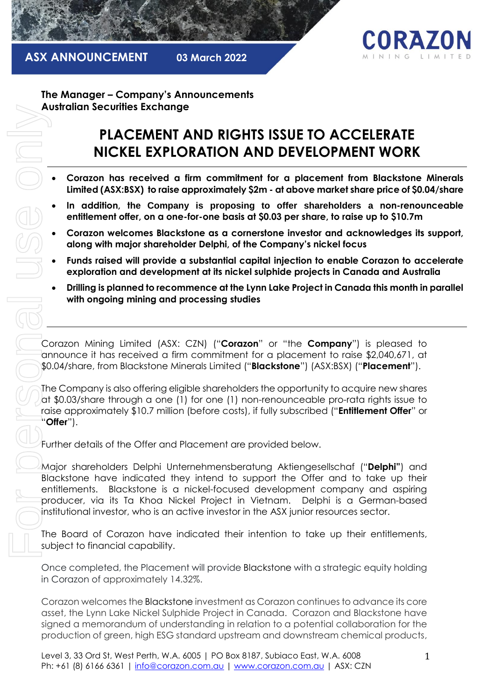



**The Manager – Company's Announcements Australian Securities Exchange**

# **PLACEMENT AND RIGHTS ISSUE TO ACCELERATE NICKEL EXPLORATION AND DEVELOPMENT WORK**

- **Corazon has received a firm commitment for a placement from Blackstone Minerals Limited (ASX:BSX) to raise approximately \$2m - at above market share price of \$0.04/share**
- **In addition, the Company is proposing to offer shareholders a non-renounceable entitlement offer, on a one-for-one basis at \$0.03 per share, to raise up to \$10.7m**
- **Corazon welcomes Blackstone as a cornerstone investor and acknowledges its support, along with major shareholder Delphi, of the Company's nickel focus**
- **Funds raised will provide a substantial capital injection to enable Corazon to accelerate exploration and development at its nickel sulphide projects in Canada and Australia**
- **Drilling is planned to recommence at the Lynn Lake Project in Canada this month in parallel with ongoing mining and processing studies**

Corazon Mining Limited (ASX: CZN) ("**Corazon**" or "the **Company**") is pleased to announce it has received a firm commitment for a placement to raise \$2,040,671, at \$0.04/share, from Blackstone Minerals Limited ("**Blackstone**") (ASX:BSX) ("**Placement**").

The Company is also offering eligible shareholders the opportunity to acquire new shares at \$0.03/share through a one (1) for one (1) non-renounceable pro-rata rights issue to raise approximately \$10.7 million (before costs), if fully subscribed ("**Entitlement Offer**" or "**Offer**").

Further details of the Offer and Placement are provided below.

Major shareholders Delphi Unternehmensberatung Aktiengesellschaf ("**Delphi"**) and Blackstone have indicated they intend to support the Offer and to take up their entitlements. Blackstone is a nickel-focused development company and aspiring producer, via its Ta Khoa Nickel Project in Vietnam. Delphi is a German-based institutional investor, who is an active investor in the ASX junior resources sector. For personal use only

The Board of Corazon have indicated their intention to take up their entitlements, subject to financial capability.

Once completed, the Placement will provide Blackstone with a strategic equity holding in Corazon of approximately 14.32%.

Corazon welcomes the Blackstone investment as Corazon continues to advance its core asset, the Lynn Lake Nickel Sulphide Project in Canada. Corazon and Blackstone have signed a memorandum of understanding in relation to a potential collaboration for the production of green, high ESG standard upstream and downstream chemical products,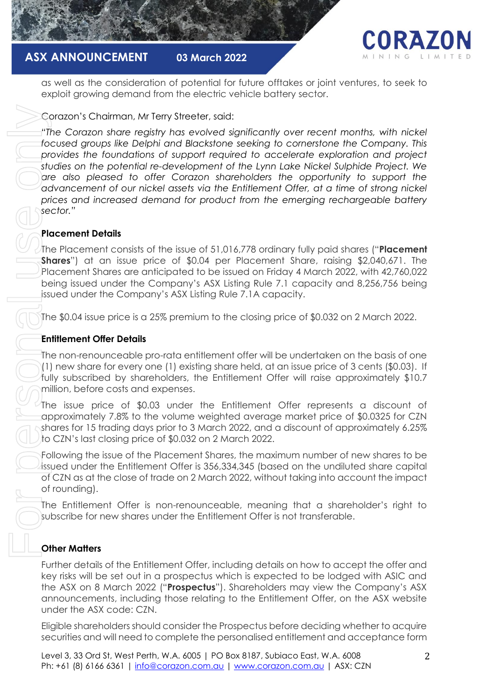



as well as the consideration of potential for future offtakes or joint ventures, to seek to exploit growing demand from the electric vehicle battery sector.

## Corazon's Chairman, Mr Terry Streeter, said:

*"The Corazon share registry has evolved significantly over recent months, with nickel focused groups like Delphi and Blackstone seeking to cornerstone the Company. This provides the foundations of support required to accelerate exploration and project studies on the potential re-development of the Lynn Lake Nickel Sulphide Project. We are also pleased to offer Corazon shareholders the opportunity to support the advancement of our nickel assets via the Entitlement Offer, at a time of strong nickel prices and increased demand for product from the emerging rechargeable battery sector."* Content of the personalised entitlement of the personalised entitlement and will need to complete the personalised entitlement and will need to complete the personalised entitlement of the personalised entitlement and will

## **Placement Details**

The Placement consists of the issue of 51,016,778 ordinary fully paid shares ("**Placement Shares**") at an issue price of \$0.04 per Placement Share, raising \$2,040,671. The Placement Shares are anticipated to be issued on Friday 4 March 2022, with 42,760,022 being issued under the Company's ASX Listing Rule 7.1 capacity and 8,256,756 being issued under the Company's ASX Listing Rule 7.1A capacity.

The \$0.04 issue price is a 25% premium to the closing price of \$0.032 on 2 March 2022.

## **Entitlement Offer Details**

The non-renounceable pro-rata entitlement offer will be undertaken on the basis of one (1) new share for every one (1) existing share held, at an issue price of 3 cents (\$0.03). If fully subscribed by shareholders, the Entitlement Offer will raise approximately \$10.7 million, before costs and expenses.

The issue price of \$0.03 under the Entitlement Offer represents a discount of approximately 7.8% to the volume weighted average market price of \$0.0325 for CZN shares for 15 trading days prior to 3 March 2022, and a discount of approximately 6.25% to CZN's last closing price of \$0.032 on 2 March 2022.

Following the issue of the Placement Shares, the maximum number of new shares to be issued under the Entitlement Offer is 356,334,345 (based on the undiluted share capital of CZN as at the close of trade on 2 March 2022, without taking into account the impact of rounding).

The Entitlement Offer is non-renounceable, meaning that a shareholder's right to subscribe for new shares under the Entitlement Offer is not transferable.

## **Other Matters**

Further details of the Entitlement Offer, including details on how to accept the offer and key risks will be set out in a prospectus which is expected to be lodged with ASIC and the ASX on 8 March 2022 ("**Prospectus**"). Shareholders may view the Company's ASX announcements, including those relating to the Entitlement Offer, on the ASX website under the ASX code: CZN.

Eligible shareholders should consider the Prospectus before deciding whether to acquire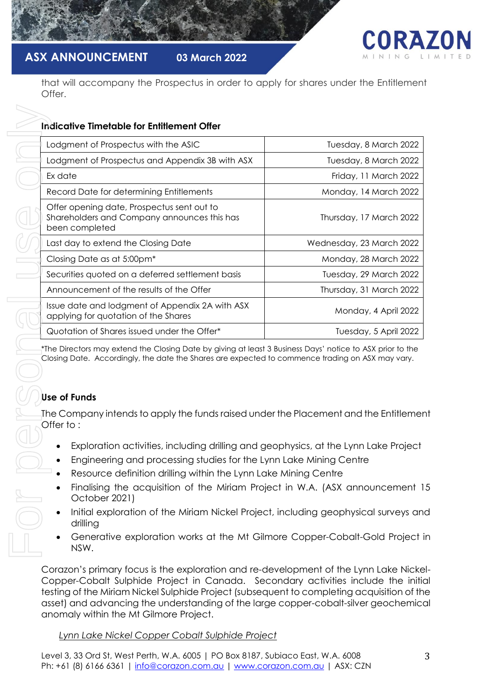

## **ASX ANNOUNCEMENT 03 March 2022**

that will accompany the Prospectus in order to apply for shares under the Entitlement Offer.

## **Indicative Timetable for Entitlement Offer**

| Lodgment of Prospectus with the ASIC                                                                                                                                                                                         | Tuesday, 8 March 2022    |
|------------------------------------------------------------------------------------------------------------------------------------------------------------------------------------------------------------------------------|--------------------------|
| Lodgment of Prospectus and Appendix 3B with ASX                                                                                                                                                                              | Tuesday, 8 March 2022    |
| Ex date                                                                                                                                                                                                                      | Friday, 11 March 2022    |
| Record Date for determining Entitlements                                                                                                                                                                                     | Monday, 14 March 2022    |
| Offer opening date, Prospectus sent out to<br>Shareholders and Company announces this has<br>been completed                                                                                                                  | Thursday, 17 March 2022  |
| Last day to extend the Closing Date                                                                                                                                                                                          | Wednesday, 23 March 2022 |
| Closing Date as at 5:00pm <sup>*</sup>                                                                                                                                                                                       | Monday, 28 March 2022    |
| Securities quoted on a deferred settlement basis                                                                                                                                                                             | Tuesday, 29 March 2022   |
| Announcement of the results of the Offer                                                                                                                                                                                     | Thursday, 31 March 2022  |
| Issue date and lodgment of Appendix 2A with ASX<br>applying for quotation of the Shares                                                                                                                                      | Monday, 4 April 2022     |
|                                                                                                                                                                                                                              |                          |
| Quotation of Shares issued under the Offer*                                                                                                                                                                                  | Tuesday, 5 April 2022    |
| *The Directors may extend the Closing Date by giving at least 3 Business Days' notice to ASX prior to the<br>Closing Date. Accordingly, the date the Shares are expected to commence trading on ASX may vary.                |                          |
| <b>Use of Funds</b><br>The Company intends to apply the funds raised under the Placement and the Entitlemer<br>Offer to:                                                                                                     |                          |
| Exploration activities, including drilling and geophysics, at the Lynn Lake Project<br>Engineering and processing studies for the Lynn Lake Mining Centre<br>Resource definition drilling within the Lynn Lake Mining Centre |                          |
| Finalising the acquisition of the Miriam Project in W.A. (ASX announcement 1<br>October 2021)                                                                                                                                |                          |
| Initial exploration of the Miriam Nickel Project, including geophysical surveys an<br>drilling                                                                                                                               |                          |

## **Use of Funds**

- Exploration activities, including drilling and geophysics, at the Lynn Lake Project
- Engineering and processing studies for the Lynn Lake Mining Centre
- Resource definition drilling within the Lynn Lake Mining Centre
- Finalising the acquisition of the Miriam Project in W.A. (ASX announcement 15 October 2021)
- Initial exploration of the Miriam Nickel Project, including geophysical surveys and drilling
- Generative exploration works at the Mt Gilmore Copper-Cobalt-Gold Project in NSW.

Corazon's primary focus is the exploration and re-development of the Lynn Lake Nickel-Copper-Cobalt Sulphide Project in Canada. Secondary activities include the initial testing of the Miriam Nickel Sulphide Project (subsequent to completing acquisition of the asset) and advancing the understanding of the large copper-cobalt-silver geochemical anomaly within the Mt Gilmore Project.

## *Lynn Lake Nickel Copper Cobalt Sulphide Project*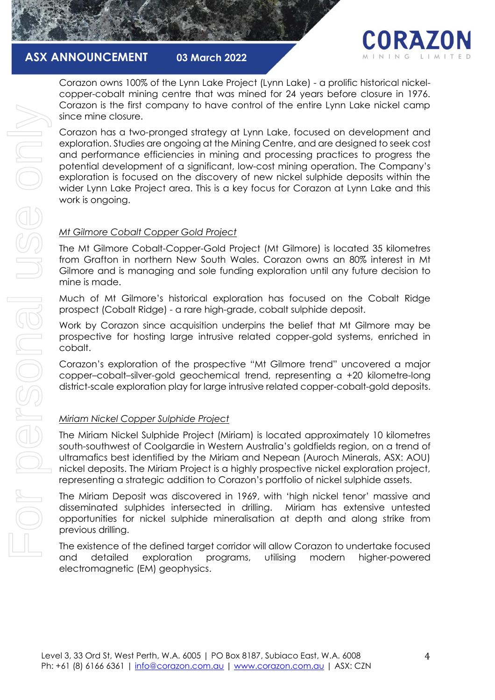



Corazon owns 100% of the Lynn Lake Project (Lynn Lake) - a prolific historical nickelcopper-cobalt mining centre that was mined for 24 years before closure in 1976. Corazon is the first company to have control of the entire Lynn Lake nickel camp since mine closure.

Corazon has a two-pronged strategy at Lynn Lake, focused on development and exploration. Studies are ongoing at the Mining Centre, and are designed to seek cost and performance efficiencies in mining and processing practices to progress the potential development of a significant, low-cost mining operation. The Company's exploration is focused on the discovery of new nickel sulphide deposits within the wider Lynn Lake Project area. This is a key focus for Corazon at Lynn Lake and this work is ongoing. For personal use only

#### *Mt Gilmore Cobalt Copper Gold Project*

The Mt Gilmore Cobalt-Copper-Gold Project (Mt Gilmore) is located 35 kilometres from Grafton in northern New South Wales. Corazon owns an 80% interest in Mt Gilmore and is managing and sole funding exploration until any future decision to mine is made.

Much of Mt Gilmore's historical exploration has focused on the Cobalt Ridge prospect (Cobalt Ridge) - a rare high-grade, cobalt sulphide deposit.

Work by Corazon since acquisition underpins the belief that Mt Gilmore may be prospective for hosting large intrusive related copper-gold systems, enriched in cobalt.

Corazon's exploration of the prospective "Mt Gilmore trend" uncovered a major copper–cobalt–silver-gold geochemical trend, representing a +20 kilometre-long district-scale exploration play for large intrusive related copper-cobalt-gold deposits.

## *Miriam Nickel Copper Sulphide Project*

For personal use onli

The Miriam Nickel Sulphide Project (Miriam) is located approximately 10 kilometres south-southwest of Coolgardie in Western Australia's goldfields region, on a trend of ultramafics best identified by the Miriam and Nepean (Auroch Minerals, ASX: AOU) nickel deposits. The Miriam Project is a highly prospective nickel exploration project, representing a strategic addition to Corazon's portfolio of nickel sulphide assets.

The Miriam Deposit was discovered in 1969, with 'high nickel tenor' massive and disseminated sulphides intersected in drilling. Miriam has extensive untested opportunities for nickel sulphide mineralisation at depth and along strike from previous drilling.

The existence of the defined target corridor will allow Corazon to undertake focused and detailed exploration programs, utilising modern higher-powered electromagnetic (EM) geophysics.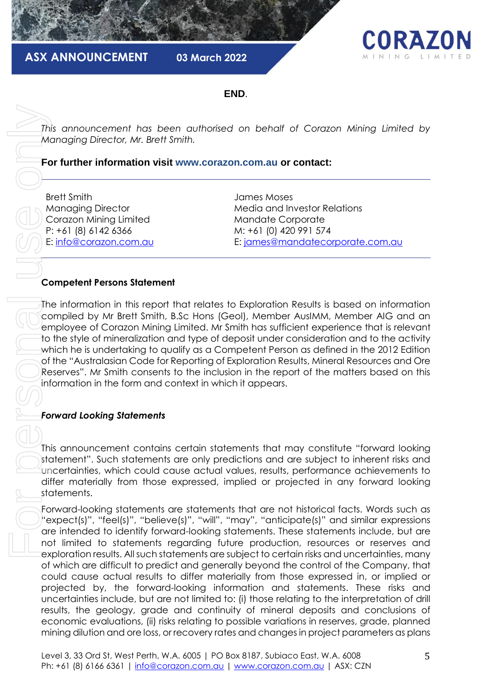

**END**.

*This announcement has been authorised on behalf of Corazon Mining Limited by Managing Director, Mr. Brett Smith.*

**For further information visit www.corazon.com.au or contact:**

Brett Smith Managing Director Corazon Mining Limited P: +61 (8) 6142 6366 E: [info@corazon.com.au](mailto:info@corazon.com.au)

James Moses Media and Investor Relations Mandate Corporate M: +61 (0) 420 991 574 E: [james@mandatecorporate.com.au](mailto:james@mandatecorporate.com.au)

#### **Competent Persons Statement**

The information in this report that relates to Exploration Results is based on information compiled by Mr Brett Smith, B.Sc Hons (Geol), Member AusIMM, Member AIG and an employee of Corazon Mining Limited. Mr Smith has sufficient experience that is relevant to the style of mineralization and type of deposit under consideration and to the activity which he is undertaking to qualify as a Competent Person as defined in the 2012 Edition of the "Australasian Code for Reporting of Exploration Results, Mineral Resources and Ore Reserves". Mr Smith consents to the inclusion in the report of the matters based on this information in the form and context in which it appears.

## *Forward Looking Statements*

This announcement contains certain statements that may constitute "forward looking statement". Such statements are only predictions and are subject to inherent risks and uncertainties, which could cause actual values, results, performance achievements to differ materially from those expressed, implied or projected in any forward looking statements.

Forward-looking statements are statements that are not historical facts. Words such as "expect(s)", "feel(s)", "believe(s)", "will", "may", "anticipate(s)" and similar expressions are intended to identify forward-looking statements. These statements include, but are not limited to statements regarding future production, resources or reserves and exploration results. All such statements are subject to certain risks and uncertainties, many of which are difficult to predict and generally beyond the control of the Company, that could cause actual results to differ materially from those expressed in, or implied or projected by, the forward-looking information and statements. These risks and uncertainties include, but are not limited to: (i) those relating to the interpretation of drill results, the geology, grade and continuity of mineral deposits and conclusions of economic evaluations, (ii) risks relating to possible variations in reserves, grade, planned mis announcement has been authorised on beholf of Corazon Mining Untilled by<br> **For further information visit www.conson.com.au or contact:**<br> **For further information visit www.conson.com.au or contact:**<br> **For further infor**